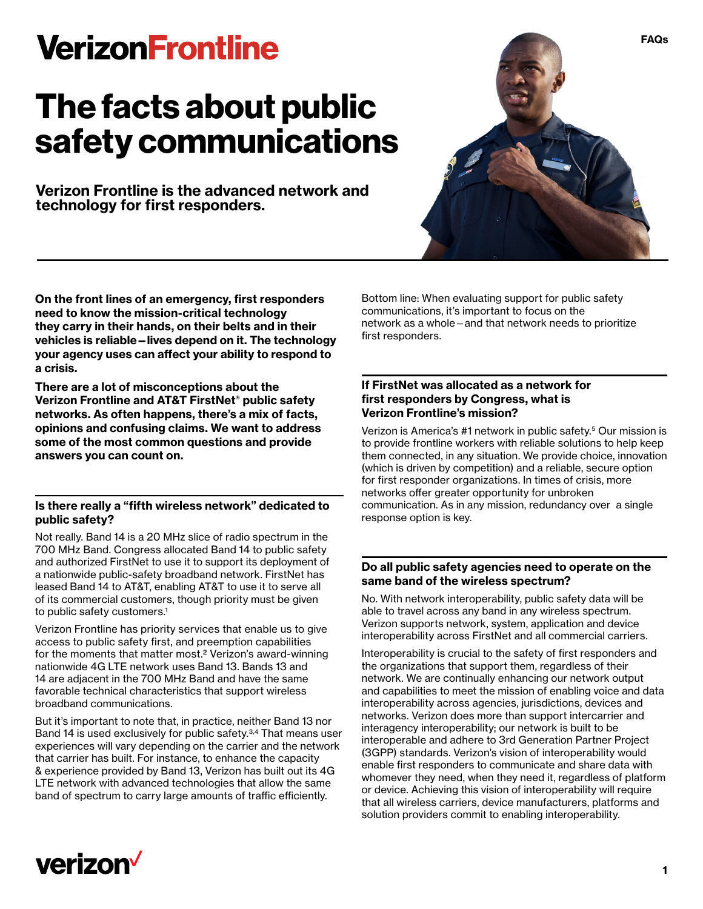# **VerizonFrontline**

# **The facts about public safety communications**

**Verizon Frontline is the advanced network and technology for first responders.**



**On the front lines of an emergency, first responders need to know the mission-critical technology they carry in their hands, on their belts and in their vehicles is reliable—lives depend on it. The technology your agency uses can affect your ability to respond to a crisis.** 

**There are a lot of misconceptions about the Verizon Frontline and AT&T FirstNet® public safety networks. As often happens, there's a mix of facts, opinions and confusing claims. We want to address some of the most common questions and provide answers you can count on.**

# **Is there really a "fifth wireless network" dedicated to public safety?**

Not really. Band 14 is a 20 MHz slice of radio spectrum in the 700 MHz Band. Congress allocated Band 14 to public safety and authorized FirstNet to use it to support its deployment of a nationwide public-safety broadband network. FirstNet has leased Band 14 to AT&T, enabling AT&T to use it to serve all of its commercial customers, though priority must be given to public safety customers.<sup>1</sup>

Verizon Frontline has priority services that enable us to give access to public safety first, and preemption capabilities for the moments that matter most.2 Verizon's award-winning nationwide 4G LTE network uses Band 13. Bands 13 and 14 are adjacent in the 700 MHz Band and have the same favorable technical characteristics that support wireless broadband communications.

But it's important to note that, in practice, neither Band 13 nor Band 14 is used exclusively for public safety.<sup>3,4</sup> That means user experiences will vary depending on the carrier and the network that carrier has built. For instance, to enhance the capacity & experience provided by Band 13, Verizon has built out its 4G LTE network with advanced technologies that allow the same band of spectrum to carry large amounts of traffic efficiently.

Bottom line: When evaluating support for public safety communications, it's important to focus on the network as a whole—and that network needs to prioritize first responders.

### **If FirstNet was allocated as a network for first responders by Congress, what is Verizon Frontline's mission?**

Verizon is America's #1 network in public safety.5 Our mission is to provide frontline workers with reliable solutions to help keep them connected, in any situation. We provide choice, innovation (which is driven by competition) and a reliable, secure option for first responder organizations. In times of crisis, more networks offer greater opportunity for unbroken communication. As in any mission, redundancy over a single response option is key.

# **Do all public safety agencies need to operate on the same band of the wireless spectrum?**

No. With network interoperability, public safety data will be able to travel across any band in any wireless spectrum. Verizon supports network, system, application and device interoperability across FirstNet and all commercial carriers.

Interoperability is crucial to the safety of first responders and the organizations that support them, regardless of their network. We are continually enhancing our network output and capabilities to meet the mission of enabling voice and data interoperability across agencies, jurisdictions, devices and networks. Verizon does more than support intercarrier and interagency interoperability; our network is built to be interoperable and adhere to 3rd Generation Partner Project (3GPP) standards. Verizon's vision of interoperability would enable first responders to communicate and share data with whomever they need, when they need it, regardless of platform or device. Achieving this vision of interoperability will require that all wireless carriers, device manufacturers, platforms and solution providers commit to enabling interoperability.

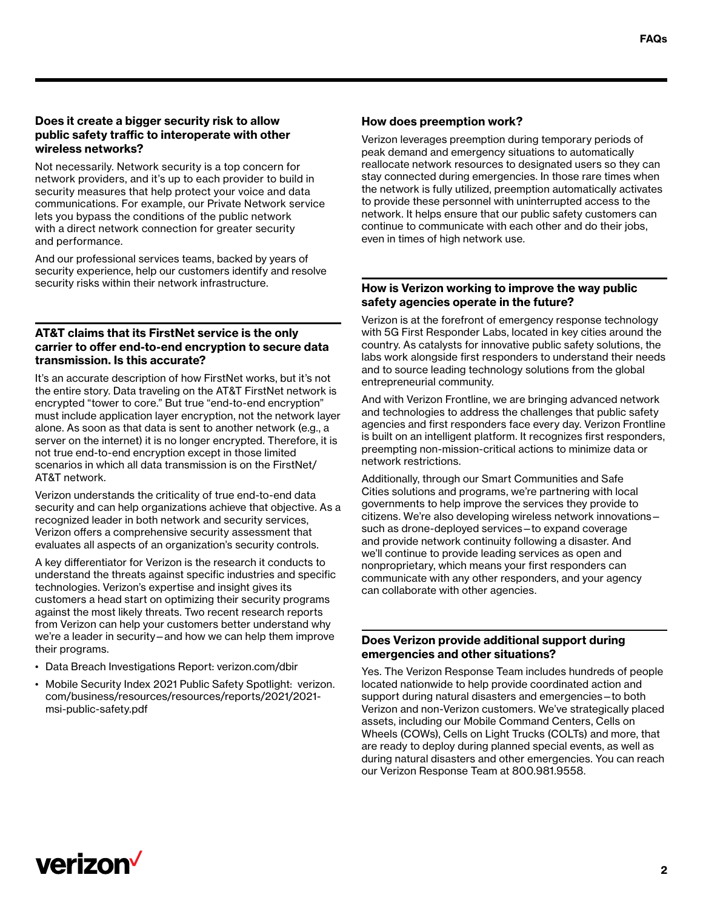# **Does it create a bigger security risk to allow public safety traffic to interoperate with other wireless networks?**

Not necessarily. Network security is a top concern for network providers, and it's up to each provider to build in security measures that help protect your voice and data communications. For example, our Private Network service lets you bypass the conditions of the public network with a direct network connection for greater security and performance.

And our professional services teams, backed by years of security experience, help our customers identify and resolve security risks within their network infrastructure.

# **AT&T claims that its FirstNet service is the only carrier to offer end-to-end encryption to secure data transmission. Is this accurate?**

It's an accurate description of how FirstNet works, but it's not the entire story. Data traveling on the AT&T FirstNet network is encrypted "tower to core." But true "end-to-end encryption" must include application layer encryption, not the network layer alone. As soon as that data is sent to another network (e.g., a server on the internet) it is no longer encrypted. Therefore, it is not true end-to-end encryption except in those limited scenarios in which all data transmission is on the FirstNet/ AT&T network.

Verizon understands the criticality of true end-to-end data security and can help organizations achieve that objective. As a recognized leader in both network and security services, Verizon offers a comprehensive security assessment that evaluates all aspects of an organization's security controls.

A key differentiator for Verizon is the research it conducts to understand the threats against specific industries and specific technologies. Verizon's expertise and insight gives its customers a head start on optimizing their security programs against the most likely threats. Two recent research reports from Verizon can help your customers better understand why we're a leader in security—and how we can help them improve their programs.

- Data Breach Investigations Report: [verizon.com/dbir](http://verizon.com/dbir)
- Mobile Security Index 2021 Public Safety Spotlight: [verizon.](http://verizon.com/business/resources/resources/reports/2021/2021-msi-public-safety.pdf) [com/business/resources/resources/reports/2021/2021](http://verizon.com/business/resources/resources/reports/2021/2021-msi-public-safety.pdf) [msi-public-safety.pdf](http://verizon.com/business/resources/resources/reports/2021/2021-msi-public-safety.pdf)

#### How does preemption work?

Verizon leverages preemption during temporary periods of peak demand and emergency situations to automatically reallocate network resources to designated users so they can stay connected during emergencies. In those rare times when the network is fully utilized, preemption automatically activates to provide these personnel with uninterrupted access to the network. It helps ensure that our public safety customers can continue to communicate with each other and do their jobs, even in times of high network use.

#### **How is Verizon working to improve the way public safety agencies operate in the future?**

Verizon is at the forefront of emergency response technology with 5G First Responder Labs, located in key cities around the country. As catalysts for innovative public safety solutions, the labs work alongside first responders to understand their needs and to source leading technology solutions from the global entrepreneurial community.

And with Verizon Frontline, we are bringing advanced network and technologies to address the challenges that public safety agencies and first responders face every day. Verizon Frontline is built on an intelligent platform. It recognizes first responders, preempting non-mission-critical actions to minimize data or network restrictions.

Additionally, through our Smart Communities and Safe Cities solutions and programs, we're partnering with local governments to help improve the services they provide to citizens. We're also developing wireless network innovations such as drone-deployed services—to expand coverage and provide network continuity following a disaster. And we'll continue to provide leading services as open and nonproprietary, which means your first responders can communicate with any other responders, and your agency can collaborate with other agencies.

#### **Does Verizon provide additional support during emergencies and other situations?**

Yes. The Verizon Response Team includes hundreds of people located nationwide to help provide coordinated action and support during natural disasters and emergencies—to both Verizon and non-Verizon customers. We've strategically placed assets, including our Mobile Command Centers, Cells on Wheels (COWs), Cells on Light Trucks (COLTs) and more, that are ready to deploy during planned special events, as well as during natural disasters and other emergencies. You can reach our Verizon Response Team at 800.981.9558.